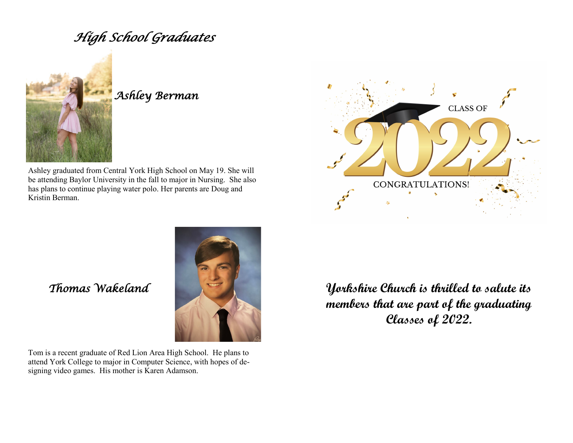# *High School Graduates*



## *Ashley Berman*

Ashley graduated from Central York High School on May 19. She will be attending Baylor University in the fall to major in Nursing. She also has plans to continue playing water polo. Her parents are Doug and Kristin Berman.





 *Thomas Wakeland*

Tom is a recent graduate of Red Lion Area High School. He plans to attend York College to major in Computer Science, with hopes of designing video games. His mother is Karen Adamson.

**Yorkshire Church is thrilled to salute its members that are part of the graduating Classes of 2022.**